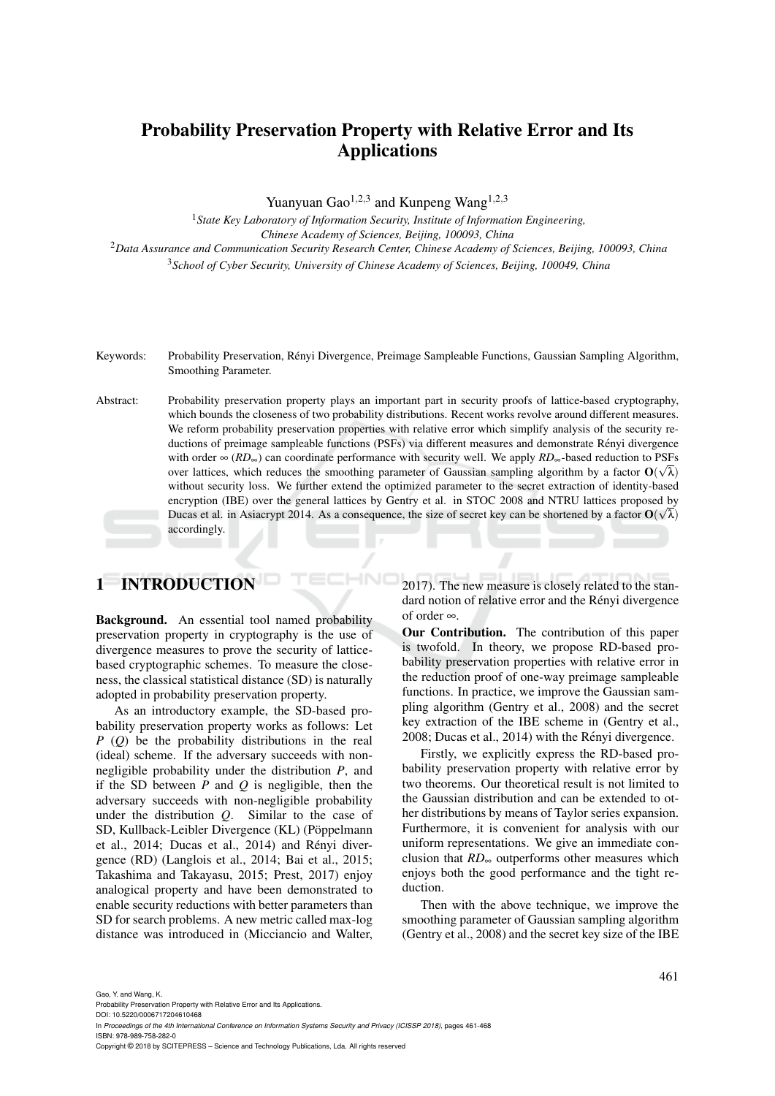# Probability Preservation Property with Relative Error and Its Applications

Yuanyuan Gao<sup>1,2,3</sup> and Kunpeng Wang<sup>1,2,3</sup>

*State Key Laboratory of Information Security, Institute of Information Engineering, Chinese Academy of Sciences, Beijing, 100093, China Data Assurance and Communication Security Research Center, Chinese Academy of Sciences, Beijing, 100093, China School of Cyber Security, University of Chinese Academy of Sciences, Beijing, 100049, China*

- Keywords: Probability Preservation, Renyi Divergence, Preimage Sampleable Functions, Gaussian Sampling Algorithm, ´ Smoothing Parameter.
- Abstract: Probability preservation property plays an important part in security proofs of lattice-based cryptography, which bounds the closeness of two probability distributions. Recent works revolve around different measures. We reform probability preservation properties with relative error which simplify analysis of the security reductions of preimage sampleable functions (PSFs) via different measures and demonstrate Rényi divergence with order ∞ (*RD*∞) can coordinate performance with security well. We apply *RD*∞-based reduction to PSFs over lattices, which reduces the smoothing parameter of Gaussian sampling algorithm by a factor  $O(\sqrt{\lambda})$ without security loss. We further extend the optimized parameter to the secret extraction of identity-based encryption (IBE) over the general lattices by Gentry et al. in STOC 2008 and NTRU lattices proposed by Ducas et al. in Asiacrypt 2014. As a consequence, the size of secret key can be shortened by a factor  $O(\sqrt{\lambda})$ accordingly.

# 1 INTRODUCTION

Background. An essential tool named probability preservation property in cryptography is the use of divergence measures to prove the security of latticebased cryptographic schemes. To measure the closeness, the classical statistical distance (SD) is naturally adopted in probability preservation property.

As an introductory example, the SD-based probability preservation property works as follows: Let *P* (*Q*) be the probability distributions in the real (ideal) scheme. If the adversary succeeds with nonnegligible probability under the distribution *P*, and if the SD between *P* and *Q* is negligible, then the adversary succeeds with non-negligible probability under the distribution *Q*. Similar to the case of SD, Kullback-Leibler Divergence (KL) (Pöppelmann et al., 2014; Ducas et al., 2014) and Rényi divergence (RD) (Langlois et al., 2014; Bai et al., 2015; Takashima and Takayasu, 2015; Prest, 2017) enjoy analogical property and have been demonstrated to enable security reductions with better parameters than SD for search problems. A new metric called max-log distance was introduced in (Micciancio and Walter, 2017). The new measure is closely related to the standard notion of relative error and the Rényi divergence of order ∞.

Our Contribution. The contribution of this paper is twofold. In theory, we propose RD-based probability preservation properties with relative error in the reduction proof of one-way preimage sampleable functions. In practice, we improve the Gaussian sampling algorithm (Gentry et al., 2008) and the secret key extraction of the IBE scheme in (Gentry et al., 2008; Ducas et al., 2014) with the Rényi divergence.

Firstly, we explicitly express the RD-based probability preservation property with relative error by two theorems. Our theoretical result is not limited to the Gaussian distribution and can be extended to other distributions by means of Taylor series expansion. Furthermore, it is convenient for analysis with our uniform representations. We give an immediate conclusion that *RD*<sup>∞</sup> outperforms other measures which enjoys both the good performance and the tight reduction.

Then with the above technique, we improve the smoothing parameter of Gaussian sampling algorithm (Gentry et al., 2008) and the secret key size of the IBE

Gao, Y. and Wang, K.

Probability Preservation Property with Relative Error and Its Applications.

DOI: 10.5220/0006717204610468 In *Proceedings of the 4th International Conference on Information Systems Security and Privacy (ICISSP 2018)*, pages 461-468 ISBN: 978-989-758-282-0

Copyright © 2018 by SCITEPRESS – Science and Technology Publications, Lda. All rights reserved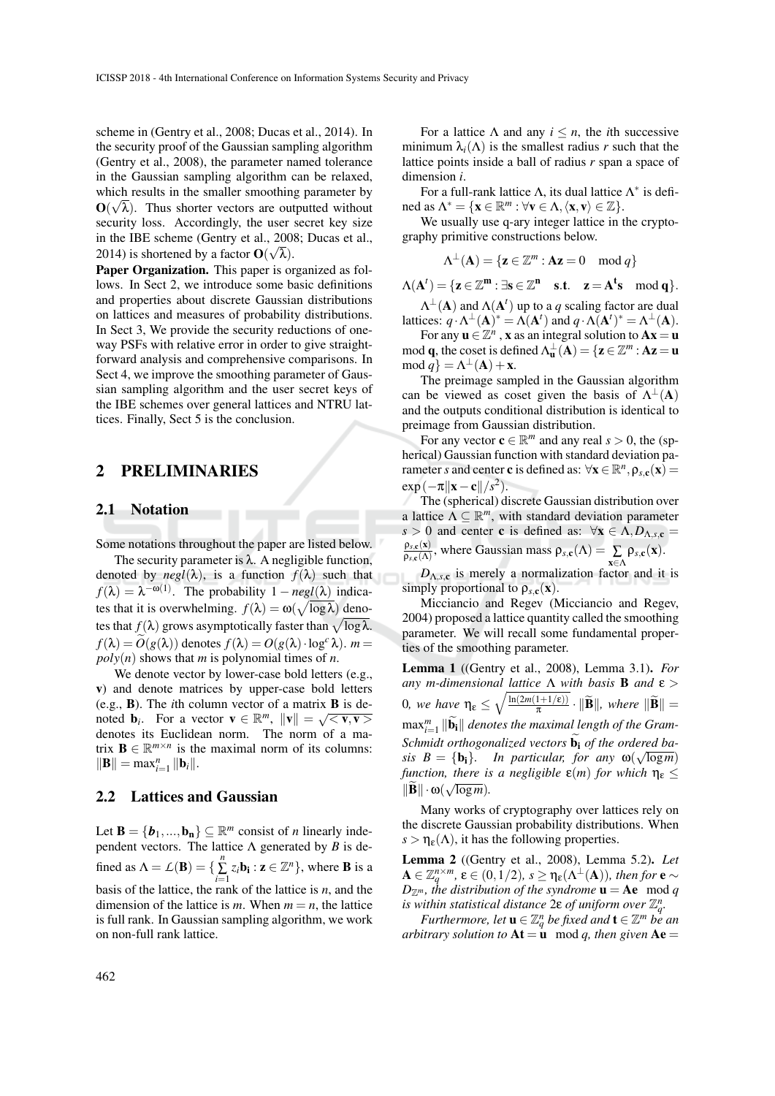scheme in (Gentry et al., 2008; Ducas et al., 2014). In the security proof of the Gaussian sampling algorithm (Gentry et al., 2008), the parameter named tolerance in the Gaussian sampling algorithm can be relaxed, which results in the smaller smoothing parameter by  $\mathbf{O}(\sqrt{\lambda})$ . Thus shorter vectors are outputted without security loss. Accordingly, the user secret key size in the IBE scheme (Gentry et al., 2008; Ducas et al., 2014) is shortened by a factor  $\mathbf{O}(\sqrt{\lambda})$ .

Paper Organization. This paper is organized as follows. In Sect 2, we introduce some basic definitions and properties about discrete Gaussian distributions on lattices and measures of probability distributions. In Sect 3, We provide the security reductions of oneway PSFs with relative error in order to give straightforward analysis and comprehensive comparisons. In Sect 4, we improve the smoothing parameter of Gaussian sampling algorithm and the user secret keys of the IBE schemes over general lattices and NTRU lattices. Finally, Sect 5 is the conclusion.

#### 2 PRELIMINARIES

#### 2.1 Notation

Some notations throughout the paper are listed below.

The security parameter is  $\lambda$ . A negligible function, denoted by  $negl(\lambda)$ , is a function  $f(\lambda)$  such that  $f(\lambda) = \lambda^{-\omega(1)}$ . The probability  $1 - neg(\lambda)$  indicates that it is overwhelming.  $f(\lambda) = \omega(\sqrt{\log \lambda})$  denotes that  $f(\lambda)$  grows asymptotically faster than  $\sqrt{\log\lambda}$ .  $f(\lambda) = O(g(\lambda))$  denotes  $f(\lambda) = O(g(\lambda) \cdot \log^c \lambda)$ . *m* =  $poly(n)$  shows that *m* is polynomial times of *n*.

We denote vector by lower-case bold letters (e.g., v) and denote matrices by upper-case bold letters (e.g., B). The *i*th column vector of a matrix B is denoted **b**<sub>*i*</sub>. For a vector  $\mathbf{v} \in \mathbb{R}^m$ ,  $\|\mathbf{v}\| = \sqrt{\langle \mathbf{v}, \mathbf{v} \rangle}$ denotes its Euclidean norm. The norm of a matrix  $\mathbf{B} \in \mathbb{R}^{m \times n}$  is the maximal norm of its columns:  $\|\mathbf{B}\| = \max_{i=1}^n \|\mathbf{b}_i\|.$ 

#### 2.2 Lattices and Gaussian

Let **B** = { $b_1$ ,...,**b<sub>n</sub>**}  $\subseteq \mathbb{R}^m$  consist of *n* linearly independent vectors. The lattice  $\Lambda$  generated by *B* is defined as  $\Lambda = \mathcal{L}(\mathbf{B}) = \{\sum_{i=1}^{n} z_i \mathbf{b_i} : \mathbf{z} \in \mathbb{Z}^n\}$ , where **B** is a basis of the lattice, the rank of the lattice is *n*, and the dimension of the lattice is *m*. When  $m = n$ , the lattice is full rank. In Gaussian sampling algorithm, we work on non-full rank lattice.

For a lattice  $\Lambda$  and any  $i \leq n$ , the *i*th successive minimum  $\lambda_i(\Lambda)$  is the smallest radius *r* such that the lattice points inside a ball of radius *r* span a space of dimension *i*.

For a full-rank lattice  $Λ$ , its dual lattice  $Λ^*$  is defined as  $\Lambda^* = {\mathbf{x} \in \mathbb{R}^m : \forall \mathbf{v} \in \Lambda, \langle \mathbf{x}, \mathbf{v} \rangle \in \mathbb{Z}}.$ 

We usually use q-ary integer lattice in the cryptography primitive constructions below.

$$
\Lambda^{\perp}(\mathbf{A}) = \{ \mathbf{z} \in \mathbb{Z}^m : \mathbf{A}\mathbf{z} = 0 \mod q \}
$$

 $\Lambda(\mathbf{A}^t) = {\mathbf{z} \in \mathbb{Z}^m : \exists \mathbf{s} \in \mathbb{Z}^n \quad \text{s.t.} \quad \mathbf{z} = \mathbf{A}^t \mathbf{s} \mod q}.$ 

 $\Lambda^{\perp}(\mathbf{A})$  and  $\Lambda(\mathbf{A}^t)$  up to a *q* scaling factor are dual lattices:  $q \cdot \Lambda^{\perp}(\mathbf{A})^* = \Lambda(\mathbf{A}^t)$  and  $q \cdot \Lambda(\mathbf{A}^t)^* = \Lambda^{\perp}(\mathbf{A})$ .

For any  $\mathbf{u} \in \mathbb{Z}^n$ , **x** as an integral solution to  $\mathbf{A}\mathbf{x} = \mathbf{u}$ mod **q**, the coset is defined  $\Lambda_{\mathbf{u}}^{\perp}(\mathbf{A}) = {\mathbf{z} \in \mathbb{Z}^m : \mathbf{A}\mathbf{z} = \mathbf{u}}$  $mod q$  =  $\Lambda^{\perp}(A) + x$ .

The preimage sampled in the Gaussian algorithm can be viewed as coset given the basis of  $\Lambda^{\perp}(A)$ and the outputs conditional distribution is identical to preimage from Gaussian distribution.

For any vector  $\mathbf{c} \in \mathbb{R}^m$  and any real  $s > 0$ , the (spherical) Gaussian function with standard deviation parameter *s* and center **c** is defined as:  $\forall$ **x**  $\in \mathbb{R}^n$ ,  $\rho_{s,c}(\mathbf{x})$  =  $\exp(-\pi ||\mathbf{x}-\mathbf{c}||/s^2).$ 

The (spherical) discrete Gaussian distribution over a lattice  $\Lambda \subseteq \mathbb{R}^m$ , with standard deviation parameter *s* > 0 and center **c** is defined as:  $\forall$ **x**  $\in \Lambda$ ,*D*<sub> $\Lambda$ ,*s*,**c** =</sub>  $\rho_{s,\mathbf{c}}(\mathbf{x})$  $\frac{\rho_{s,\mathbf{c}}(\mathbf{A})}{\rho_{s,\mathbf{c}}(\mathbf{A})}$ , where Gaussian mass  $\rho_{s,\mathbf{c}}(\mathbf{A}) = \sum_{\mathbf{a},\mathbf{b}}$ x∈Λ  $\rho_{s,c}(\mathbf{x})$ .

 $D_{\Lambda,s,c}$  is merely a normalization factor and it is simply proportional to  $\rho_{s,c}(x)$ .

Micciancio and Regev (Micciancio and Regev, 2004) proposed a lattice quantity called the smoothing parameter. We will recall some fundamental properties of the smoothing parameter.

Lemma 1 ((Gentry et al., 2008), Lemma 3.1). *For any m-dimensional lattice* Λ *with basis* B *and* ε > **0**, we have  $η_{\varepsilon} \le \sqrt{\frac{\ln(2m(1+1/\varepsilon))}{\pi}}$  $\frac{1+1/\varepsilon}{\pi} \cdot \|\mathbf{B}\|$ , where  $\|\mathbf{B}\|$  =  $\max_{i=1}^m \|\widetilde{\mathbf{b}}_i\|$  denotes the maximal length of the Gram-Schmidt orthogonalized vectors **b**<sub>i</sub> of the ordered ba*sis B* = {b<sub>i</sub>}. *In particular, for any*  $\omega(\sqrt{\log m})$ *function, there is a negligible*  $\varepsilon(m)$  *for which*  $\eta_{\varepsilon} \leq$  $\|\widetilde{\mathbf{B}}\| \cdot \omega(\sqrt{\log m}).$ 

Many works of cryptography over lattices rely on the discrete Gaussian probability distributions. When  $s > \eta_{\varepsilon}(\Lambda)$ , it has the following properties.

Lemma 2 ((Gentry et al., 2008), Lemma 5.2). *Let*  $A \in \mathbb{Z}_q^{n \times m}, \, \varepsilon \in (0,1/2), \, s \geq \eta_{\varepsilon}(\Lambda^{\perp}(A)), \, \text{then for } \mathbf{e} \sim$  $D_{\mathbb{Z}^m}$ , the distribution of the syndrome  $\mathbf{u} = \mathbf{A}\mathbf{e} \mod q$ *is within statistical distance*  $2\varepsilon$  *of uniform over*  $\mathbb{Z}_q^n$ .

*Furthermore, let*  $\mathbf{u} \in \mathbb{Z}_q^n$  *be fixed and*  $\mathbf{t} \in \mathbb{Z}^m$  *be an arbitrary solution to*  $At = u \mod q$ , then given  $Ae =$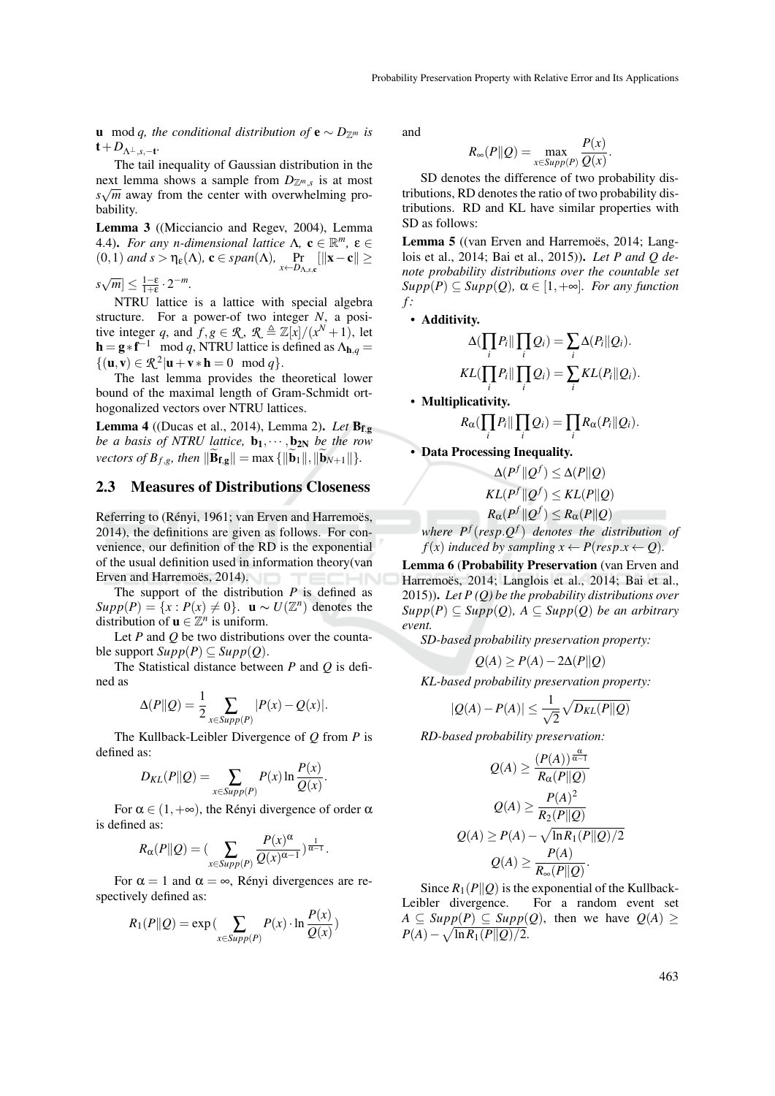**u** mod *q, the conditional distribution of*  $\mathbf{e} \sim D_{\mathbb{Z}^m}$  *is*  $t+D_{\Lambda^{\perp},s,-t}$ 

The tail inequality of Gaussian distribution in the next lemma shows a sample from  $D_{\mathbb{Z}^m,s}$  is at most  $s\sqrt{m}$  away from the center with overwhelming probability.

Lemma 3 ((Micciancio and Regev, 2004), Lemma 4.4). *For any n-dimensional lattice*  $\Lambda$ ,  $\mathbf{c} \in \mathbb{R}^m$ ,  $\boldsymbol{\epsilon} \in$  $(0,1)$  *and s* >  $\eta_{\varepsilon}(\Lambda)$ , **c**  $\in span(\Lambda)$ ,  $\Pr_{x \leftarrow D_{\Lambda,s,c}}[||\mathbf{x}-\mathbf{c}|| \ge$  $s\sqrt{m}$ ]  $\leq \frac{1-\varepsilon}{1+\varepsilon} \cdot 2^{-m}$ .

NTRU lattice is a lattice with special algebra structure. For a power-of two integer *N*, a positive integer *q*, and  $f, g \in \mathcal{R}$ ,  $\mathcal{R} \triangleq \mathbb{Z}[x]/(x^N + 1)$ , let  $\mathbf{h} = \mathbf{g} * \mathbf{f}^{-1} \mod q$ , NTRU lattice is defined as  $\Lambda_{\mathbf{h},q} =$  $\{(\mathbf{u}, \mathbf{v}) \in \mathcal{R}^2 | \mathbf{u} + \mathbf{v} * \mathbf{h} = 0 \mod q\}.$ 

The last lemma provides the theoretical lower bound of the maximal length of Gram-Schmidt orthogonalized vectors over NTRU lattices.

Lemma 4 ((Ducas et al., 2014), Lemma 2). *Let* Bf,<sup>g</sup> *be a basis of NTRU lattice,*  $\mathbf{b}_1, \cdots, \mathbf{b}_{2N}$  *be the row vectors of*  $B_{f,g}$ *, then*  $\|\widetilde{\mathbf{B}}_{f,g}\| = \max\{\|\widetilde{\mathbf{b}}_1\|,\|\widetilde{\mathbf{b}}_{N+1}\|\}.$ 

## 2.3 Measures of Distributions Closeness

Referring to (Rényi, 1961; van Erven and Harremoës, 2014), the definitions are given as follows. For convenience, our definition of the RD is the exponential of the usual definition used in information theory(van Erven and Harremoës, 2014).

The support of the distribution *P* is defined as  $Supp(P) = \{x : P(x) \neq 0\}$ . **u** ∼ *U*( $\mathbb{Z}^n$ ) denotes the distribution of  $\mathbf{u} \in \mathbb{Z}^n$  is uniform.

Let *P* and *Q* be two distributions over the countable support  $Supp(P) \subseteq Supp(Q)$ .

The Statistical distance between *P* and *Q* is defined as

$$
\Delta(P||Q) = \frac{1}{2} \sum_{x \in \text{Supp}(P)} |P(x) - Q(x)|.
$$

The Kullback-Leibler Divergence of *Q* from *P* is defined as:

$$
D_{KL}(P||Q) = \sum_{x \in \text{Supp}(P)} P(x) \ln \frac{P(x)}{Q(x)}.
$$

For  $\alpha \in (1, +\infty)$ , the Rényi divergence of order  $\alpha$ is defined as:

$$
R_{\alpha}(P||Q) = \left(\sum_{x \in \text{Supp}(P)} \frac{P(x)^{\alpha}}{Q(x)^{\alpha-1}}\right)^{\frac{1}{\alpha-1}}.
$$

For  $\alpha = 1$  and  $\alpha = \infty$ , Rényi divergences are respectively defined as:

$$
R_1(P||Q) = \exp\left(\sum_{x \in \text{Supp}(P)} P(x) \cdot \ln \frac{P(x)}{Q(x)}\right)
$$

and

$$
R_{\infty}(P||Q) = \max_{x \in \text{Supp}(P)} \frac{P(x)}{Q(x)}
$$

.

SD denotes the difference of two probability distributions, RD denotes the ratio of two probability distributions. RD and KL have similar properties with SD as follows:

Lemma 5 ((van Erven and Harremoës, 2014; Langlois et al., 2014; Bai et al., 2015)). *Let P and Q denote probability distributions over the countable set*  $Supp(P) \subseteq Supp(Q), \alpha \in [1, +\infty]$ *. For any function f :*

*•* Additivity.

$$
\Delta(\prod_i P_i \|\prod_i Q_i) = \sum_i \Delta(P_i \| Q_i).
$$
  

$$
KL(\prod_i P_i \|\prod_i Q_i) = \sum_i KL(P_i \| Q_i).
$$

*•* Multiplicativity.

$$
R_{\alpha}(\prod_i P_i \|\prod_i Q_i) = \prod_i R_{\alpha}(P_i \| Q_i).
$$

*•* Data Processing Inequality.

$$
\Delta(P^f \| Q^f) \le \Delta(P \| Q)
$$
  
\n
$$
KL(P^f \| Q^f) \le KL(P \| Q)
$$
  
\n
$$
R_{\alpha}(P^f \| Q^f) \le R_{\alpha}(P \| Q)
$$
  
\n
$$
P^f
$$
 (resp.  $Q^f$ ) denotes the distribution

*where P<sup>f</sup>* (*resp*.*Q f* ) *denotes the distribution of f*(*x*) *induced by sampling*  $x \leftarrow P(resp.x \leftarrow Q)$ *.* 

Lemma 6 (Probability Preservation (van Erven and Harremoës, 2014; Langlois et al., 2014; Bai et al., 2015)). *Let P (Q) be the probability distributions over Supp*(*P*) ⊆ *Supp*(*Q*)*, A* ⊆ *Supp*(*Q*) *be an arbitrary event.*

*SD-based probability preservation property:*

$$
Q(A) \ge P(A) - 2\Delta(P||Q)
$$

*KL-based probability preservation property:*

$$
|Q(A) - P(A)| \le \frac{1}{\sqrt{2}} \sqrt{D_{KL}(P||Q)}
$$

*RD-based probability preservation:*

$$
Q(A) \ge \frac{(P(A))^{\frac{\alpha}{\alpha-1}}}{R_{\alpha}(P||Q)}
$$

$$
Q(A) \ge \frac{P(A)^2}{R_2(P||Q)}
$$

$$
Q(A) \ge P(A) - \sqrt{\ln R_1(P||Q)/2}
$$

$$
Q(A) \ge \frac{P(A)}{R_{\infty}(P||Q)}.
$$

Since  $R_1(P||Q)$  is the exponential of the Kullback-<br>Leibler divergence. For a random event set For a random event set  $A \subseteq \text{Supp}(P) \subseteq \text{Supp}(Q)$ , then we have  $Q(A) \ge$  $P(A) - \sqrt{\ln R_1(P||Q)/2}.$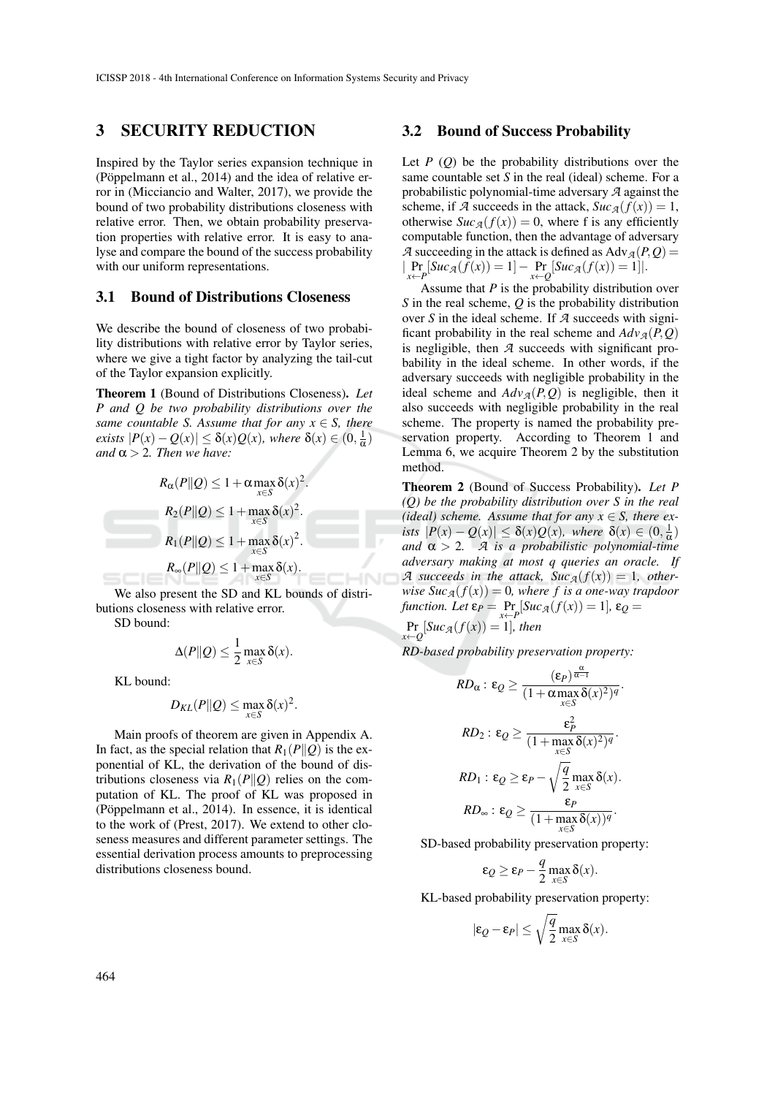## 3 SECURITY REDUCTION

Inspired by the Taylor series expansion technique in (Pöppelmann et al.,  $2014$ ) and the idea of relative error in (Micciancio and Walter, 2017), we provide the bound of two probability distributions closeness with relative error. Then, we obtain probability preservation properties with relative error. It is easy to analyse and compare the bound of the success probability with our uniform representations.

#### 3.1 Bound of Distributions Closeness

We describe the bound of closeness of two probability distributions with relative error by Taylor series, where we give a tight factor by analyzing the tail-cut of the Taylor expansion explicitly.

Theorem 1 (Bound of Distributions Closeness). *Let P and Q be two probability distributions over the same countable S. Assume that for any*  $x \in S$ *, there exists*  $|P(x) - Q(x)| \leq \delta(x)Q(x)$ *, where*  $\delta(x) \in (0, \frac{1}{\alpha})$ *and*  $\alpha$  > 2*. Then* we have:

$$
R_{\alpha}(P||Q) \le 1 + \alpha \max_{x \in S} \delta(x)^2.
$$
  
\n
$$
R_2(P||Q) \le 1 + \max_{x \in S} \delta(x)^2.
$$
  
\n
$$
R_1(P||Q) \le 1 + \max_{x \in S} \delta(x)^2.
$$
  
\n
$$
R_{\infty}(P||Q) \le 1 + \max_{x \in S} \delta(x).
$$

We also present the SD and KL bounds of distributions closeness with relative error.

SD bound:

$$
\Delta(P\|Q) \leq \frac{1}{2} \max_{x \in S} \delta(x).
$$

KL bound:

$$
D_{KL}(P||Q) \leq \max_{x \in S} \delta(x)^2.
$$

Main proofs of theorem are given in Appendix A. In fact, as the special relation that  $R_1(P||Q)$  is the exponential of KL, the derivation of the bound of distributions closeness via  $R_1(P||Q)$  relies on the computation of KL. The proof of KL was proposed in (Pöppelmann et al.,  $2014$ ). In essence, it is identical to the work of (Prest, 2017). We extend to other closeness measures and different parameter settings. The essential derivation process amounts to preprocessing distributions closeness bound.

#### 3.2 Bound of Success Probability

Let  $P(Q)$  be the probability distributions over the same countable set *S* in the real (ideal) scheme. For a probabilistic polynomial-time adversary *A* against the scheme, if *A* succeeds in the attack,  $Suc_A(f(x)) = 1$ , otherwise  $Suc_A(f(x)) = 0$ , where f is any efficiently computable function, then the advantage of adversary *A* succeeding in the attack is defined as  $\text{Adv}_{\mathcal{A}}(P,Q)$  =  $|\Pr_{x \leftarrow P}[\textit{Suc}_{\mathcal{A}}(f(x)) = 1] - \Pr_{x \leftarrow Q}[\textit{Suc}_{\mathcal{A}}(f(x)) = 1]|.$ 

Assume that *P* is the probability distribution over *S* in the real scheme, *Q* is the probability distribution over *S* in the ideal scheme. If *A* succeeds with significant probability in the real scheme and  $Adv_{\mathcal{A}}(P,Q)$ is negligible, then *A* succeeds with significant probability in the ideal scheme. In other words, if the adversary succeeds with negligible probability in the ideal scheme and  $Adv_{\mathcal{A}}(P, Q)$  is negligible, then it also succeeds with negligible probability in the real scheme. The property is named the probability preservation property. According to Theorem 1 and Lemma 6, we acquire Theorem 2 by the substitution method.

Theorem 2 (Bound of Success Probability). *Let P (Q) be the probability distribution over S in the real (ideal)* scheme. Assume that for any  $x \in S$ , there ex*ists*  $|P(x) - Q(x)| \leq \delta(x)Q(x)$ *, where*  $\delta(x) \in (0, \frac{1}{\alpha})$ *and*  $\alpha > 2$ *. A is a probabilistic polynomial-time adversary making at most q queries an oracle. If A* succeeds in the attack,  $Suc_A(f(x)) = 1$ , other*wise Suc*<sub>*A*</sub>( $f(x)$ ) = 0*, where f is a one-way trapdoor function.* Let  $\varepsilon_P = \Pr_{x \leftarrow P}[\text{Suc}_{\mathcal{A}}(f(x)) = 1]$ ,  $\varepsilon_Q =$ 

Pr  $\Pr_{x \leftarrow Q}[\textit{Suc}_{\mathcal{A}}(f(x)) = 1]$ *, then* 

HNC

*RD-based probability preservation property:*

$$
RD_{\alpha}: \varepsilon_{Q} \geq \frac{(\varepsilon_{P})^{\frac{\alpha}{\alpha-1}}}{(1+\alpha \max_{x \in S} \delta(x)^{2})^{q}}.
$$

$$
RD_{2}: \varepsilon_{Q} \geq \frac{\varepsilon_{P}^{2}}{(1+\max_{x \in S} \delta(x)^{2})^{q}}.
$$

$$
RD_{1}: \varepsilon_{Q} \geq \varepsilon_{P} - \sqrt{\frac{q}{2}} \max_{x \in S} \delta(x).
$$

$$
RD_{\infty}: \varepsilon_{Q} \geq \frac{\varepsilon_{P}}{(1+\max_{x \in S} \delta(x))^{q}}.
$$

SD-based probability preservation property:

$$
\varepsilon_Q \ge \varepsilon_P - \frac{q}{2} \max_{x \in S} \delta(x).
$$

KL-based probability preservation property:

$$
|\varepsilon_Q - \varepsilon_P| \le \sqrt{\frac{q}{2}} \max_{x \in S} \delta(x).
$$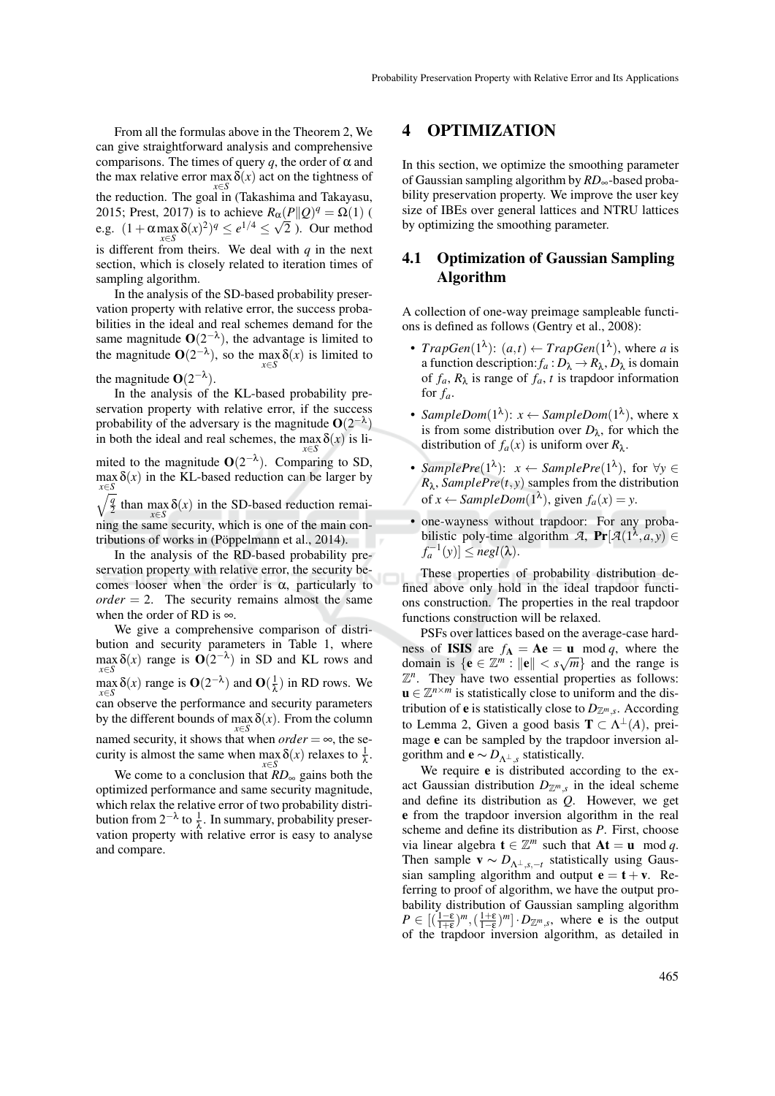From all the formulas above in the Theorem 2, We can give straightforward analysis and comprehensive comparisons. The times of query  $q$ , the order of  $\alpha$  and the max relative error max *x*∈*S*  $\delta(x)$  act on the tightness of the reduction. The goal in (Takashima and Takayasu, 2015; Prest, 2017) is to achieve  $R_{\alpha}(P||Q)^q = \Omega(1)$  ( e.g.  $(1 + \alpha \max_{y \in S} \delta(x)^2)^q \le e^{1/4} \le \sqrt{2}$ . Our method is different from theirs. We deal with *q* in the next section, which is closely related to iteration times of sampling algorithm.

In the analysis of the SD-based probability preservation property with relative error, the success probabilities in the ideal and real schemes demand for the same magnitude  $O(2^{-\lambda})$ , the advantage is limited to the magnitude  $O(2^{-\lambda})$ , so the max *x*∈*S*  $\delta(x)$  is limited to

### the magnitude  $O(2^{-\lambda})$ .

In the analysis of the KL-based probability preservation property with relative error, if the success probability of the adversary is the magnitude  $O(2^{-\lambda})$ in both the ideal and real schemes, the max *x*∈*S*  $\delta(x)$  is li-

mited to the magnitude  $O(2^{-\lambda})$ . Comparing to SD,  $\max_{\mathbf{x}} \delta(x)$  in the KL-based reduction can be larger by *x*∈*S*  $\sqrt{q}$  $rac{q}{2}$  than max  $\delta(x)$  in the SD-based reduction remai-

*x*∈*S* ning the same security, which is one of the main contributions of works in (Pöppelmann et al., 2014).

In the analysis of the RD-based probability preservation property with relative error, the security becomes looser when the order is  $\alpha$ , particularly to  $order = 2$ . The security remains almost the same when the order of RD is  $\infty$ .

We give a comprehensive comparison of distribution and security parameters in Table 1, where max  $\delta(x)$  range is  $O(2^{-\lambda})$  in SD and KL rows and *x*∈*S*  $\max_{x \in S} \delta(x)$  range is  $O(2^{-\lambda})$  and  $O(\frac{1}{\lambda})$  in RD rows. We *x*∈*S* can observe the performance and security parameters by the different bounds of max  $\delta(x)$ . From the column  $\overline{x \in S}$  named security, it shows that when *order* = ∞, the security is almost the same when max *x*∈*S*  $\delta(x)$  relaxes to  $\frac{1}{\lambda}$ .

We come to a conclusion that *RD*<sup>∞</sup> gains both the optimized performance and same security magnitude, which relax the relative error of two probability distribution from  $2^{-\lambda}$  to  $\frac{1}{\lambda}$ . In summary, probability preservation property with relative error is easy to analyse and compare.

## 4 OPTIMIZATION

In this section, we optimize the smoothing parameter of Gaussian sampling algorithm by *RD*∞-based probability preservation property. We improve the user key size of IBEs over general lattices and NTRU lattices by optimizing the smoothing parameter.

## 4.1 Optimization of Gaussian Sampling Algorithm

A collection of one-way preimage sampleable functions is defined as follows (Gentry et al., 2008):

- *TrapGen*( $1^{\lambda}$ ):  $(a,t) \leftarrow TrapGen(1^{\lambda})$ , where *a* is a function description:  $f_a: D_\lambda \to R_\lambda, D_\lambda$  is domain of  $f_a$ ,  $R_\lambda$  is range of  $f_a$ ,  $t$  is trapdoor information for  $f_a$ .
- *SampleDom*( $1^{\lambda}$ ):  $x \leftarrow SampleDom(1^{\lambda})$ , where x is from some distribution over  $D_{\lambda}$ , for which the distribution of  $f_a(x)$  is uniform over  $R_\lambda$ .
- $SamplePre(1^{\lambda})$ :  $x \leftarrow SamplePre(1^{\lambda})$ , for  $\forall y \in$  $R_{\lambda}$ , *SamplePre*(*t*, *y*) samples from the distribution of  $x \leftarrow SampleDom(1^{\lambda})$ , given  $f_a(x) = y$ .
- one-wayness without trapdoor: For any probabilistic poly-time algorithm *A*,  $Pr[\mathcal{A}(1^{\lambda}, a, y) \in$  $f_a^{-1}(y)$ ]  $\leq$  *negl*( $\lambda$ ).

These properties of probability distribution defined above only hold in the ideal trapdoor functions construction. The properties in the real trapdoor functions construction will be relaxed.

PSFs over lattices based on the average-case hardness of **ISIS** are  $f_A = Ae = u \mod q$ , where the domain is  $\{e \in \mathbb{Z}^m : ||e|| < s\sqrt{m}\}\$ and the range is  $\mathbb{Z}^n$ . They have two essential properties as follows:  $\mathbf{u} \in \mathbb{Z}^{n \times m}$  is statistically close to uniform and the distribution of **e** is statistically close to  $D_{\mathbb{Z}^m,s}$ . According to Lemma 2, Given a good basis  $\mathbf{T} \subset \Lambda^{\perp}(A)$ , preimage e can be sampled by the trapdoor inversion algorithm and **e**  $\sim D_{\Lambda^{\perp},s}$  statistically.

We require **e** is distributed according to the exact Gaussian distribution  $D_{\mathbb{Z}^m,s}$  in the ideal scheme and define its distribution as *Q*. However, we get e from the trapdoor inversion algorithm in the real scheme and define its distribution as *P*. First, choose via linear algebra  $\mathbf{t} \in \mathbb{Z}^m$  such that  $\mathbf{At} = \mathbf{u} \mod q$ . Then sample  $\mathbf{v} \sim D_{\Lambda^{\perp}, s, -t}$  statistically using Gaussian sampling algorithm and output  $e = t + v$ . Referring to proof of algorithm, we have the output probability distribution of Gaussian sampling algorithm  $P \in [(\frac{1-\epsilon}{1+\epsilon})^m,(\frac{1+\epsilon}{1-\epsilon})^m] \cdot D_{\mathbb{Z}^m,s}$ , where **e** is the output of the trapdoor inversion algorithm, as detailed in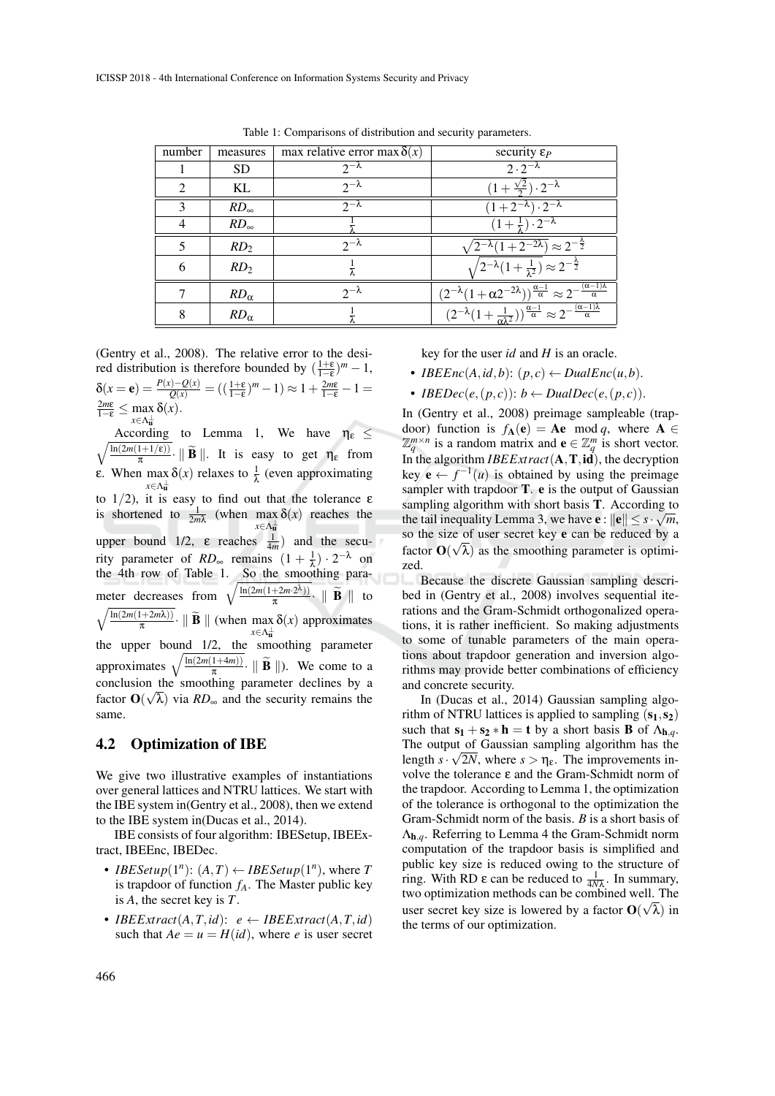| number        | measures        | max relative error max $\delta(x)$ | security $\varepsilon_P$                                                                                                            |
|---------------|-----------------|------------------------------------|-------------------------------------------------------------------------------------------------------------------------------------|
|               | <b>SD</b>       | $2^{-\lambda}$                     | $2\cdot2^{-\lambda}$                                                                                                                |
| $\mathcal{D}$ | KL              | $2^{-\lambda}$                     | $(1+\frac{\sqrt{2}}{2})\cdot 2^{-\lambda}$                                                                                          |
| 3             | $RD_{\infty}$   | $2^{-\lambda}$                     | $(1+2^{-\lambda})\cdot\overline{2^{-\lambda}}$                                                                                      |
| 4             | $RD_{\infty}$   |                                    | $(1+\frac{1}{2})\cdot 2^{-\lambda}$                                                                                                 |
| 5             | RD <sub>2</sub> | $2-\lambda$                        | $\sqrt{2^{-\lambda}(1+2^{-2\lambda})} \approx 2^{-\frac{\lambda}{2}}$                                                               |
| 6             | RD <sub>2</sub> |                                    | $(2^{-\lambda}(1+\frac{1}{\lambda^2}) \approx 2^{-\frac{\lambda}{2}})$                                                              |
|               | $RD_{\alpha}$   | $2^{-\lambda}$                     | $\frac{(2^{-\lambda}(1+\alpha 2^{-2\lambda}))^{\frac{\alpha-1}{\alpha}} \approx 2^{-\frac{(\alpha-1)\lambda}{\alpha}}}{\sigma}$     |
| 8             | $RD_{\alpha}$   |                                    | $\frac{(2^{-\lambda}(1+\frac{1}{\alpha\lambda^2}))^{\frac{\alpha-1}{\alpha}}\approx 2^{-\frac{(\alpha-1)\lambda}{\alpha}}}{\alpha}$ |

Table 1: Comparisons of distribution and security parameters.

(Gentry et al., 2008). The relative error to the desired distribution is therefore bounded by  $(\frac{1+\epsilon}{1-\epsilon})^m - 1$ ,  $\delta(x = e) = \frac{P(x) - Q(x)}{Q(x)} = \left(\frac{1 + \varepsilon}{1 - \varepsilon}\right)^m - 1 \ge 1 + \frac{2m\varepsilon}{1 - \varepsilon} - 1 =$  $rac{2m\varepsilon}{1-\varepsilon} \leq \max_{x \in \Lambda_{+}^{\perp}} \delta(x).$ 

*x*∈Λ ⊥ u  $\sqrt{\ln(2m(1+1/\epsilon))}$ According to Lemma 1, We have  $\eta_{\varepsilon} \leq$  $\frac{1+1/\epsilon}{\pi}$  | **B** | | | It is easy to get  $\eta_{\epsilon}$  from ε. When  $\max_{x \in \Lambda} \delta(x)$  relaxes to  $\frac{1}{\lambda}$  (even approximating *x*∈Λ ⊥ u to  $1/2$ ), it is easy to find out that the tolerance  $\varepsilon$ is shortened to  $\frac{1}{2m\lambda}$  (when max *x*∈Λ ⊥ u  $\delta(x)$  reaches the upper bound 1/2,  $\varepsilon$  reaches  $\frac{1}{4m}$  and the security parameter of  $RD_{\infty}$  remains  $(1 + \frac{1}{\lambda}) \cdot 2^{-\lambda}$  on the 4th row of Table 1. So the smoothing parameter decreases from  $\sqrt{\frac{\ln(2m(1+2m\cdot 2^{\lambda}))}{\pi}}$  $rac{+2m \cdot 2^{x}}{\pi}$  | **B** | to  $\sqrt{\ln(2m(1+2m\lambda))}$  $\frac{1+2m\lambda}{\pi}$  | **B** || (when max  $\lambda \in \Lambda_{\mathbf{u}}^{\perp}$ δ(*x*) approximates the upper bound 1/2, the smoothing parameter approximates  $\sqrt{\frac{\ln(2m(1+4m))}{\pi}}$  $\frac{1+4m}{\pi}$  | **B** | | ). We come to a conclusion the smoothing parameter declines by a factor  $\mathbf{O}(\sqrt{\lambda})$  via  $RD_{\infty}$  and the security remains the same.

#### 4.2 Optimization of IBE

We give two illustrative examples of instantiations over general lattices and NTRU lattices. We start with the IBE system in(Gentry et al., 2008), then we extend to the IBE system in(Ducas et al., 2014).

IBE consists of four algorithm: IBESetup, IBEExtract, IBEEnc, IBEDec.

- *IBESetup*( $1^n$ ):  $(A, T) \leftarrow *IBESetup(1^n)*$ , where *T* is trapdoor of function  $f_A$ . The Master public key is *A*, the secret key is *T*.
- *IBEExtract*( $A, T, id$ ):  $e \leftarrow IBEExtract(A, T, id)$ such that  $Ae = u = H(id)$ , where *e* is user secret

key for the user *id* and *H* is an oracle.

- *IBEEnc*(*A*,*id*,*b*): ( $p$ ,*c*)  $\leftarrow$  *DualEnc*(*u*,*b*).
- *<i>IBEDec*(*e*,(*p*,*c*)): *b* ← *DualDec*(*e*,(*p*,*c*)).

In (Gentry et al., 2008) preimage sampleable (trapdoor) function is  $f_{A}(e) = Ae \mod q$ , where  $A \in$  $\mathbb{Z}_q^{m \times n}$  is a random matrix and  $\mathbf{e} \in \mathbb{Z}_q^m$  is short vector. In the algorithm *IBEExtract*(A,T,id), the decryption key  $e \leftarrow f^{-1}(u)$  is obtained by using the preimage sampler with trapdoor  $T$ .  $e$  is the output of Gaussian sampling algorithm with short basis T. According to the tail inequality Lemma 3, we have  $e: ||e|| \leq s \cdot \sqrt{m}$ , so the size of user secret key e can be reduced by a factor  $O(\sqrt{\lambda})$  as the smoothing parameter is optimized.

Because the discrete Gaussian sampling described in (Gentry et al., 2008) involves sequential iterations and the Gram-Schmidt orthogonalized operations, it is rather inefficient. So making adjustments to some of tunable parameters of the main operations about trapdoor generation and inversion algorithms may provide better combinations of efficiency and concrete security.

In (Ducas et al., 2014) Gaussian sampling algorithm of NTRU lattices is applied to sampling  $(s_1, s_2)$ such that  $s_1 + s_2 * h = t$  by a short basis **B** of  $\Lambda_{h,q}$ . The output of Gaussian sampling algorithm has the length  $s \cdot \sqrt{2N}$ , where  $s > \eta_{\varepsilon}$ . The improvements involve the tolerance ε and the Gram-Schmidt norm of the trapdoor. According to Lemma 1, the optimization of the tolerance is orthogonal to the optimization the Gram-Schmidt norm of the basis. *B* is a short basis of Λh,*q*. Referring to Lemma 4 the Gram-Schmidt norm computation of the trapdoor basis is simplified and public key size is reduced owing to the structure of ring. With RD ε can be reduced to  $\frac{1}{4Nλ}$ . In summary, two optimization methods can be combined well. The where  $\epsilon$  is lowered by a factor  $\mathbf{O}(\sqrt{\lambda})$  in the terms of our optimization.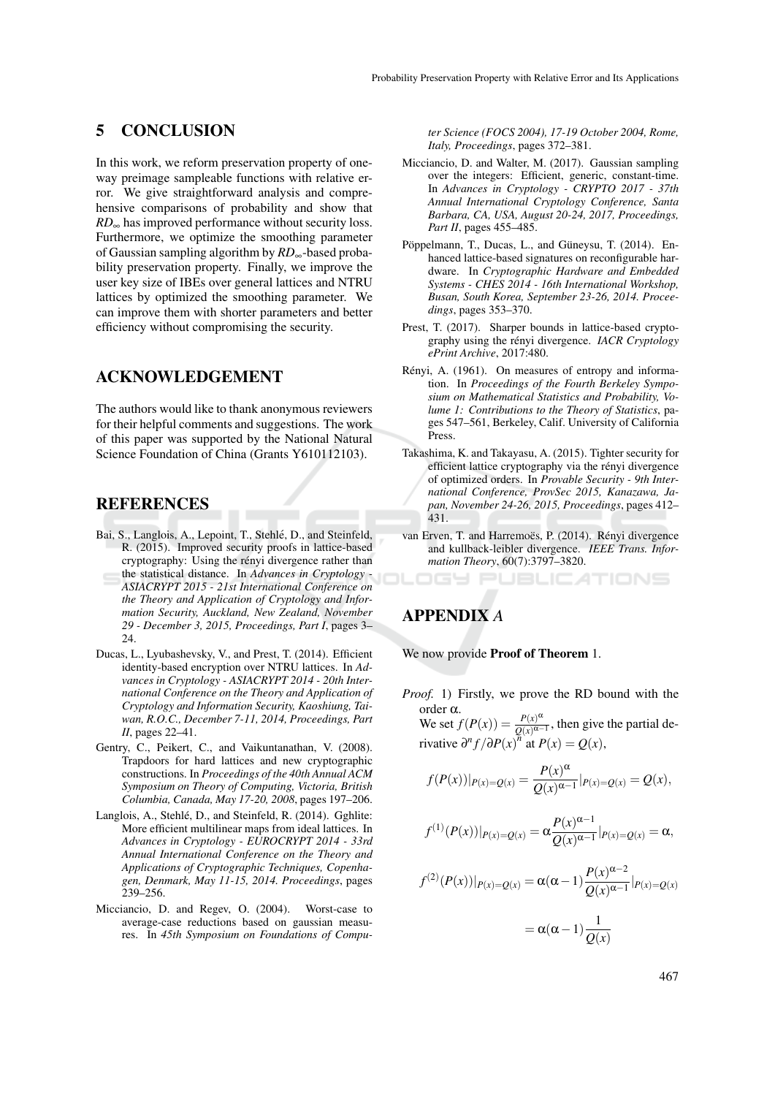## 5 CONCLUSION

In this work, we reform preservation property of oneway preimage sampleable functions with relative error. We give straightforward analysis and comprehensive comparisons of probability and show that *RD*<sub>∞</sub> has improved performance without security loss. Furthermore, we optimize the smoothing parameter of Gaussian sampling algorithm by *RD*∞-based probability preservation property. Finally, we improve the user key size of IBEs over general lattices and NTRU lattices by optimized the smoothing parameter. We can improve them with shorter parameters and better efficiency without compromising the security.

## ACKNOWLEDGEMENT

The authors would like to thank anonymous reviewers for their helpful comments and suggestions. The work of this paper was supported by the National Natural Science Foundation of China (Grants Y610112103).

### REFERENCES

- Bai, S., Langlois, A., Lepoint, T., Stehlé, D., and Steinfeld, R. (2015). Improved security proofs in lattice-based cryptography: Using the rényi divergence rather than the statistical distance. In *Advances in Cryptology - ASIACRYPT 2015 - 21st International Conference on the Theory and Application of Cryptology and Information Security, Auckland, New Zealand, November 29 - December 3, 2015, Proceedings, Part I*, pages 3– 24
- Ducas, L., Lyubashevsky, V., and Prest, T. (2014). Efficient identity-based encryption over NTRU lattices. In *Advances in Cryptology - ASIACRYPT 2014 - 20th International Conference on the Theory and Application of Cryptology and Information Security, Kaoshiung, Taiwan, R.O.C., December 7-11, 2014, Proceedings, Part II*, pages 22–41.
- Gentry, C., Peikert, C., and Vaikuntanathan, V. (2008). Trapdoors for hard lattices and new cryptographic constructions. In *Proceedings of the 40th Annual ACM Symposium on Theory of Computing, Victoria, British Columbia, Canada, May 17-20, 2008*, pages 197–206.
- Langlois, A., Stehlé, D., and Steinfeld, R. (2014). Gghlite: More efficient multilinear maps from ideal lattices. In *Advances in Cryptology - EUROCRYPT 2014 - 33rd Annual International Conference on the Theory and Applications of Cryptographic Techniques, Copenhagen, Denmark, May 11-15, 2014. Proceedings*, pages 239–256.
- Micciancio, D. and Regev, O. (2004). Worst-case to average-case reductions based on gaussian measures. In *45th Symposium on Foundations of Compu-*

*ter Science (FOCS 2004), 17-19 October 2004, Rome, Italy, Proceedings*, pages 372–381.

- Micciancio, D. and Walter, M. (2017). Gaussian sampling over the integers: Efficient, generic, constant-time. In *Advances in Cryptology - CRYPTO 2017 - 37th Annual International Cryptology Conference, Santa Barbara, CA, USA, August 20-24, 2017, Proceedings, Part II*, pages 455–485.
- Pöppelmann, T., Ducas, L., and Güneysu, T. (2014). Enhanced lattice-based signatures on reconfigurable hardware. In *Cryptographic Hardware and Embedded Systems - CHES 2014 - 16th International Workshop, Busan, South Korea, September 23-26, 2014. Proceedings*, pages 353–370.
- Prest, T. (2017). Sharper bounds in lattice-based cryptography using the rényi divergence. *IACR Cryptology ePrint Archive*, 2017:480.
- Rényi, A. (1961). On measures of entropy and information. In *Proceedings of the Fourth Berkeley Symposium on Mathematical Statistics and Probability, Volume 1: Contributions to the Theory of Statistics*, pages 547–561, Berkeley, Calif. University of California Press.
- Takashima, K. and Takayasu, A. (2015). Tighter security for efficient lattice cryptography via the rényi divergence of optimized orders. In *Provable Security - 9th International Conference, ProvSec 2015, Kanazawa, Japan, November 24-26, 2015, Proceedings*, pages 412– 431.
- van Erven, T. and Harremoës, P. (2014). Rényi divergence and kullback-leibler divergence. *IEEE Trans. Information Theory*, 60(7):3797–3820.

**JBLICATIONS** 

## APPENDIX *A*

We now provide **Proof of Theorem** 1.

*Proof.* 1) Firstly, we prove the RD bound with the order α.

We set  $f(P(x)) = \frac{P(x)^{\alpha}}{Q(x)Q(x)}$  $\frac{P(x)^{n}}{Q(x)^{\alpha-1}}$ , then give the partial derivative  $\partial^n f / \partial P(x)$ <sup>n</sup> at  $P(x) = Q(x)$ ,

$$
f(P(x))|_{P(x)=Q(x)} = \frac{P(x)^{\alpha}}{Q(x)^{\alpha-1}}|_{P(x)=Q(x)} = Q(x),
$$

$$
f^{(1)}(P(x))|_{P(x)=Q(x)} = \alpha \frac{P(x)^{\alpha-1}}{Q(x)^{\alpha-1}}|_{P(x)=Q(x)} = \alpha,
$$

$$
f^{(2)}(P(x))|_{P(x)=Q(x)} = \alpha(\alpha-1)\frac{P(x)^{\alpha-2}}{Q(x)^{\alpha-1}}|_{P(x)=Q(x)}
$$

$$
= \alpha(\alpha-1)\frac{1}{\mathcal{Q}(x)}
$$